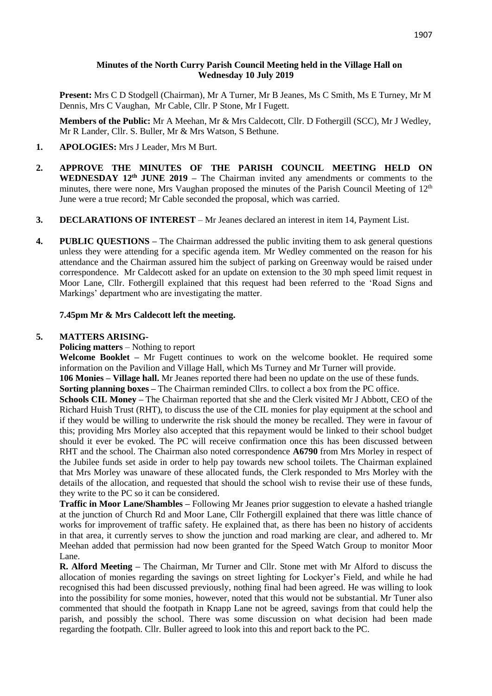## **Minutes of the North Curry Parish Council Meeting held in the Village Hall on Wednesday 10 July 2019**

**Present:** Mrs C D Stodgell (Chairman), Mr A Turner, Mr B Jeanes, Ms C Smith, Ms E Turney, Mr M Dennis, Mrs C Vaughan, Mr Cable, Cllr. P Stone, Mr I Fugett.

**Members of the Public:** Mr A Meehan, Mr & Mrs Caldecott, Cllr. D Fothergill (SCC), Mr J Wedley, Mr R Lander, Cllr. S. Buller, Mr & Mrs Watson, S Bethune.

- **1. APOLOGIES:** Mrs J Leader, Mrs M Burt.
- **2. APPROVE THE MINUTES OF THE PARISH COUNCIL MEETING HELD ON WEDNESDAY 12th JUNE 2019 –** The Chairman invited any amendments or comments to the minutes, there were none, Mrs Vaughan proposed the minutes of the Parish Council Meeting of  $12<sup>th</sup>$ June were a true record; Mr Cable seconded the proposal, which was carried.
- **3. DECLARATIONS OF INTEREST**  Mr Jeanes declared an interest in item 14, Payment List.
- **4. PUBLIC QUESTIONS –** The Chairman addressed the public inviting them to ask general questions unless they were attending for a specific agenda item. Mr Wedley commented on the reason for his attendance and the Chairman assured him the subject of parking on Greenway would be raised under correspondence. Mr Caldecott asked for an update on extension to the 30 mph speed limit request in Moor Lane, Cllr. Fothergill explained that this request had been referred to the 'Road Signs and Markings' department who are investigating the matter.

## **7.45pm Mr & Mrs Caldecott left the meeting.**

#### **5. MATTERS ARISING-**

**Policing matters** – Nothing to report

**Welcome Booklet –** Mr Fugett continues to work on the welcome booklet. He required some information on the Pavilion and Village Hall, which Ms Turney and Mr Turner will provide. **106 Monies – Village hall.** Mr Jeanes reported there had been no update on the use of these funds.

**Sorting planning boxes** – The Chairman reminded Cllrs. to collect a box from the PC office.

**Schools CIL Money –** The Chairman reported that she and the Clerk visited Mr J Abbott, CEO of the Richard Huish Trust (RHT), to discuss the use of the CIL monies for play equipment at the school and if they would be willing to underwrite the risk should the money be recalled. They were in favour of this; providing Mrs Morley also accepted that this repayment would be linked to their school budget should it ever be evoked. The PC will receive confirmation once this has been discussed between RHT and the school. The Chairman also noted correspondence **A6790** from Mrs Morley in respect of the Jubilee funds set aside in order to help pay towards new school toilets. The Chairman explained that Mrs Morley was unaware of these allocated funds, the Clerk responded to Mrs Morley with the details of the allocation, and requested that should the school wish to revise their use of these funds, they write to the PC so it can be considered.

**Traffic in Moor Lane/Shambles –** Following Mr Jeanes prior suggestion to elevate a hashed triangle at the junction of Church Rd and Moor Lane, Cllr Fothergill explained that there was little chance of works for improvement of traffic safety. He explained that, as there has been no history of accidents in that area, it currently serves to show the junction and road marking are clear, and adhered to. Mr Meehan added that permission had now been granted for the Speed Watch Group to monitor Moor Lane.

**R. Alford Meeting –** The Chairman, Mr Turner and Cllr. Stone met with Mr Alford to discuss the allocation of monies regarding the savings on street lighting for Lockyer's Field, and while he had recognised this had been discussed previously, nothing final had been agreed. He was willing to look into the possibility for some monies, however, noted that this would not be substantial. Mr Tuner also commented that should the footpath in Knapp Lane not be agreed, savings from that could help the parish, and possibly the school. There was some discussion on what decision had been made regarding the footpath. Cllr. Buller agreed to look into this and report back to the PC.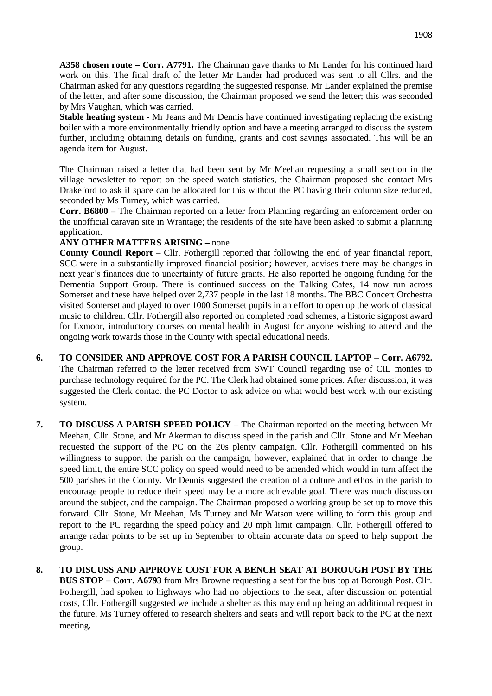**A358 chosen route – Corr. A7791.** The Chairman gave thanks to Mr Lander for his continued hard work on this. The final draft of the letter Mr Lander had produced was sent to all Cllrs. and the Chairman asked for any questions regarding the suggested response. Mr Lander explained the premise of the letter, and after some discussion, the Chairman proposed we send the letter; this was seconded by Mrs Vaughan, which was carried.

**Stable heating system -** Mr Jeans and Mr Dennis have continued investigating replacing the existing boiler with a more environmentally friendly option and have a meeting arranged to discuss the system further, including obtaining details on funding, grants and cost savings associated. This will be an agenda item for August.

The Chairman raised a letter that had been sent by Mr Meehan requesting a small section in the village newsletter to report on the speed watch statistics, the Chairman proposed she contact Mrs Drakeford to ask if space can be allocated for this without the PC having their column size reduced, seconded by Ms Turney, which was carried.

**Corr. B6800 –** The Chairman reported on a letter from Planning regarding an enforcement order on the unofficial caravan site in Wrantage; the residents of the site have been asked to submit a planning application.

## **ANY OTHER MATTERS ARISING –** none

**County Council Report** – Cllr. Fothergill reported that following the end of year financial report, SCC were in a substantially improved financial position; however, advises there may be changes in next year's finances due to uncertainty of future grants. He also reported he ongoing funding for the Dementia Support Group. There is continued success on the Talking Cafes, 14 now run across Somerset and these have helped over 2,737 people in the last 18 months. The BBC Concert Orchestra visited Somerset and played to over 1000 Somerset pupils in an effort to open up the work of classical music to children. Cllr. Fothergill also reported on completed road schemes, a historic signpost award for Exmoor, introductory courses on mental health in August for anyone wishing to attend and the ongoing work towards those in the County with special educational needs.

- **6. TO CONSIDER AND APPROVE COST FOR A PARISH COUNCIL LAPTOP Corr. A6792.** The Chairman referred to the letter received from SWT Council regarding use of CIL monies to purchase technology required for the PC. The Clerk had obtained some prices. After discussion, it was suggested the Clerk contact the PC Doctor to ask advice on what would best work with our existing system.
- **7. TO DISCUSS A PARISH SPEED POLICY –** The Chairman reported on the meeting between Mr Meehan, Cllr. Stone, and Mr Akerman to discuss speed in the parish and Cllr. Stone and Mr Meehan requested the support of the PC on the 20s plenty campaign. Cllr. Fothergill commented on his willingness to support the parish on the campaign, however, explained that in order to change the speed limit, the entire SCC policy on speed would need to be amended which would in turn affect the 500 parishes in the County. Mr Dennis suggested the creation of a culture and ethos in the parish to encourage people to reduce their speed may be a more achievable goal. There was much discussion around the subject, and the campaign. The Chairman proposed a working group be set up to move this forward. Cllr. Stone, Mr Meehan, Ms Turney and Mr Watson were willing to form this group and report to the PC regarding the speed policy and 20 mph limit campaign. Cllr. Fothergill offered to arrange radar points to be set up in September to obtain accurate data on speed to help support the group.
- **8. TO DISCUSS AND APPROVE COST FOR A BENCH SEAT AT BOROUGH POST BY THE BUS STOP – Corr. A6793** from Mrs Browne requesting a seat for the bus top at Borough Post. Cllr. Fothergill, had spoken to highways who had no objections to the seat, after discussion on potential costs, Cllr. Fothergill suggested we include a shelter as this may end up being an additional request in the future, Ms Turney offered to research shelters and seats and will report back to the PC at the next meeting.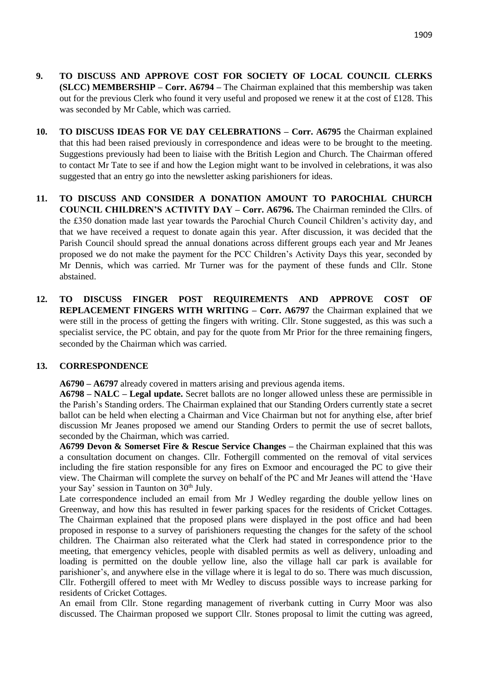- **9. TO DISCUSS AND APPROVE COST FOR SOCIETY OF LOCAL COUNCIL CLERKS (SLCC) MEMBERSHIP – Corr. A6794 –** The Chairman explained that this membership was taken out for the previous Clerk who found it very useful and proposed we renew it at the cost of £128. This was seconded by Mr Cable, which was carried.
- **10. TO DISCUSS IDEAS FOR VE DAY CELEBRATIONS – Corr. A6795** the Chairman explained that this had been raised previously in correspondence and ideas were to be brought to the meeting. Suggestions previously had been to liaise with the British Legion and Church. The Chairman offered to contact Mr Tate to see if and how the Legion might want to be involved in celebrations, it was also suggested that an entry go into the newsletter asking parishioners for ideas.
- **11. TO DISCUSS AND CONSIDER A DONATION AMOUNT TO PAROCHIAL CHURCH COUNCIL CHILDREN'S ACTIVITY DAY – Corr. A6796.** The Chairman reminded the Cllrs. of the £350 donation made last year towards the Parochial Church Council Children's activity day, and that we have received a request to donate again this year. After discussion, it was decided that the Parish Council should spread the annual donations across different groups each year and Mr Jeanes proposed we do not make the payment for the PCC Children's Activity Days this year, seconded by Mr Dennis, which was carried. Mr Turner was for the payment of these funds and Cllr. Stone abstained.
- **12. TO DISCUSS FINGER POST REQUIREMENTS AND APPROVE COST OF REPLACEMENT FINGERS WITH WRITING – Corr. A6797** the Chairman explained that we were still in the process of getting the fingers with writing. Cllr. Stone suggested, as this was such a specialist service, the PC obtain, and pay for the quote from Mr Prior for the three remaining fingers, seconded by the Chairman which was carried.

## **13. CORRESPONDENCE**

**A6790 – A6797** already covered in matters arising and previous agenda items.

**A6798 – NALC – Legal update.** Secret ballots are no longer allowed unless these are permissible in the Parish's Standing orders. The Chairman explained that our Standing Orders currently state a secret ballot can be held when electing a Chairman and Vice Chairman but not for anything else, after brief discussion Mr Jeanes proposed we amend our Standing Orders to permit the use of secret ballots, seconded by the Chairman, which was carried.

**A6799 Devon & Somerset Fire & Rescue Service Changes –** the Chairman explained that this was a consultation document on changes. Cllr. Fothergill commented on the removal of vital services including the fire station responsible for any fires on Exmoor and encouraged the PC to give their view. The Chairman will complete the survey on behalf of the PC and Mr Jeanes will attend the 'Have your Say' session in Taunton on 30<sup>th</sup> July.

Late correspondence included an email from Mr J Wedley regarding the double yellow lines on Greenway, and how this has resulted in fewer parking spaces for the residents of Cricket Cottages. The Chairman explained that the proposed plans were displayed in the post office and had been proposed in response to a survey of parishioners requesting the changes for the safety of the school children. The Chairman also reiterated what the Clerk had stated in correspondence prior to the meeting, that emergency vehicles, people with disabled permits as well as delivery, unloading and loading is permitted on the double yellow line, also the village hall car park is available for parishioner's, and anywhere else in the village where it is legal to do so. There was much discussion, Cllr. Fothergill offered to meet with Mr Wedley to discuss possible ways to increase parking for residents of Cricket Cottages.

An email from Cllr. Stone regarding management of riverbank cutting in Curry Moor was also discussed. The Chairman proposed we support Cllr. Stones proposal to limit the cutting was agreed,